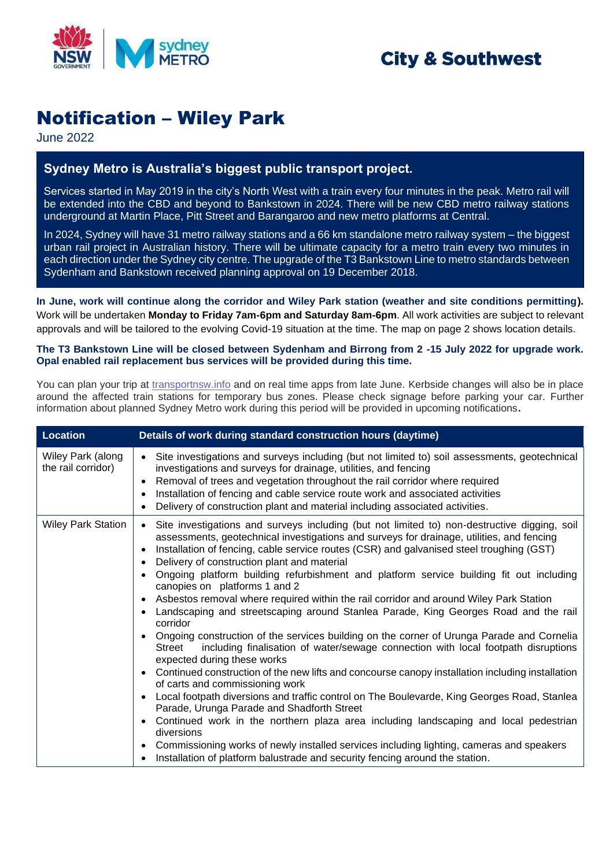

## **City & Southwest**

# Notification – Wiley Park

June 2022

### **Sydney Metro is Australia's biggest public transport project.**

Services started in May 2019 in the city's North West with a train every four minutes in the peak. Metro rail will be extended into the CBD and beyond to Bankstown in 2024. There will be new CBD metro railway stations underground at Martin Place, Pitt Street and Barangaroo and new metro platforms at Central.

In 2024, Sydney will have 31 metro railway stations and a 66 km standalone metro railway system – the biggest urban rail project in Australian history. There will be ultimate capacity for a metro train every two minutes in each direction under the Sydney city centre. The upgrade of the T3 Bankstown Line to metro standards between Sydenham and Bankstown received planning approval on 19 December 2018.

**In June, work will continue along the corridor and Wiley Park station (weather and site conditions permitting).** Work will be undertaken **Monday to Friday 7am-6pm and Saturday 8am-6pm**. All work activities are subject to relevant approvals and will be tailored to the evolving Covid-19 situation at the time. The map on page 2 shows location details.

#### **The T3 Bankstown Line will be closed between Sydenham and Birrong from 2 -15 July 2022 for upgrade work. Opal enabled rail replacement bus services will be provided during this time.**

You can plan your trip at [transportnsw.info](https://transportnsw.info/) and on real time apps from late June. Kerbside changes will also be in place around the affected train stations for temporary bus zones. Please check signage before parking your car. Further information about planned Sydney Metro work during this period will be provided in upcoming notifications**.**

| <b>Location</b>                         | Details of work during standard construction hours (daytime)                                                                                                                                                                                                                                                                                                                                                                                                                                                                                                                                                                                                                                                                                                                                                                                                                                                                                                                                                                                                                                                                                                                                                                                                                                                                                                                                                                                                                                                                                              |
|-----------------------------------------|-----------------------------------------------------------------------------------------------------------------------------------------------------------------------------------------------------------------------------------------------------------------------------------------------------------------------------------------------------------------------------------------------------------------------------------------------------------------------------------------------------------------------------------------------------------------------------------------------------------------------------------------------------------------------------------------------------------------------------------------------------------------------------------------------------------------------------------------------------------------------------------------------------------------------------------------------------------------------------------------------------------------------------------------------------------------------------------------------------------------------------------------------------------------------------------------------------------------------------------------------------------------------------------------------------------------------------------------------------------------------------------------------------------------------------------------------------------------------------------------------------------------------------------------------------------|
| Wiley Park (along<br>the rail corridor) | Site investigations and surveys including (but not limited to) soil assessments, geotechnical<br>$\bullet$<br>investigations and surveys for drainage, utilities, and fencing<br>Removal of trees and vegetation throughout the rail corridor where required<br>$\bullet$<br>Installation of fencing and cable service route work and associated activities<br>Delivery of construction plant and material including associated activities.                                                                                                                                                                                                                                                                                                                                                                                                                                                                                                                                                                                                                                                                                                                                                                                                                                                                                                                                                                                                                                                                                                               |
| <b>Wiley Park Station</b>               | Site investigations and surveys including (but not limited to) non-destructive digging, soil<br>assessments, geotechnical investigations and surveys for drainage, utilities, and fencing<br>Installation of fencing, cable service routes (CSR) and galvanised steel troughing (GST)<br>$\bullet$<br>Delivery of construction plant and material<br>Ongoing platform building refurbishment and platform service building fit out including<br>canopies on platforms 1 and 2<br>Asbestos removal where required within the rail corridor and around Wiley Park Station<br>$\bullet$<br>Landscaping and streetscaping around Stanlea Parade, King Georges Road and the rail<br>corridor<br>Ongoing construction of the services building on the corner of Urunga Parade and Cornelia<br>$\bullet$<br>including finalisation of water/sewage connection with local footpath disruptions<br>Street<br>expected during these works<br>Continued construction of the new lifts and concourse canopy installation including installation<br>$\bullet$<br>of carts and commissioning work<br>Local footpath diversions and traffic control on The Boulevarde, King Georges Road, Stanlea<br>$\bullet$<br>Parade, Urunga Parade and Shadforth Street<br>Continued work in the northern plaza area including landscaping and local pedestrian<br>$\bullet$<br>diversions<br>Commissioning works of newly installed services including lighting, cameras and speakers<br>$\bullet$<br>Installation of platform balustrade and security fencing around the station. |